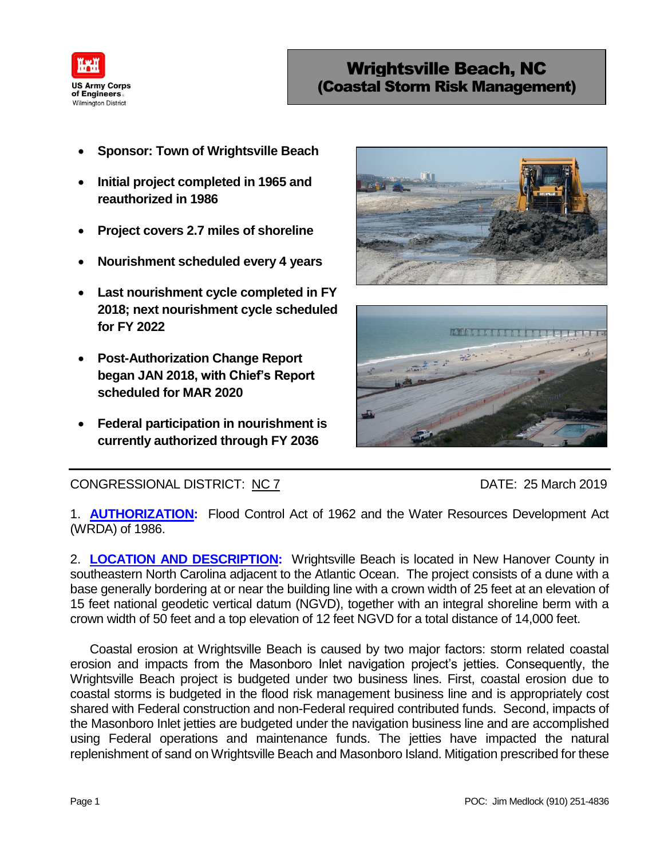

- **Sponsor: Town of Wrightsville Beach**
- **Initial project completed in 1965 and reauthorized in 1986**
- **Project covers 2.7 miles of shoreline**
- **Nourishment scheduled every 4 years**
- **Last nourishment cycle completed in FY 2018; next nourishment cycle scheduled for FY 2022**
- **Post-Authorization Change Report began JAN 2018, with Chief's Report scheduled for MAR 2020**
- **Federal participation in nourishment is currently authorized through FY 2036**





CONGRESSIONAL DISTRICT: NC 7 DATE: 25 March 2019

1. **AUTHORIZATION:** Flood Control Act of 1962 and the Water Resources Development Act (WRDA) of 1986.

2. **LOCATION AND DESCRIPTION:** Wrightsville Beach is located in New Hanover County in southeastern North Carolina adjacent to the Atlantic Ocean. The project consists of a dune with a base generally bordering at or near the building line with a crown width of 25 feet at an elevation of 15 feet national geodetic vertical datum (NGVD), together with an integral shoreline berm with a crown width of 50 feet and a top elevation of 12 feet NGVD for a total distance of 14,000 feet.

Coastal erosion at Wrightsville Beach is caused by two major factors: storm related coastal erosion and impacts from the Masonboro Inlet navigation project's jetties. Consequently, the Wrightsville Beach project is budgeted under two business lines. First, coastal erosion due to coastal storms is budgeted in the flood risk management business line and is appropriately cost shared with Federal construction and non-Federal required contributed funds. Second, impacts of the Masonboro Inlet jetties are budgeted under the navigation business line and are accomplished using Federal operations and maintenance funds. The jetties have impacted the natural replenishment of sand on Wrightsville Beach and Masonboro Island. Mitigation prescribed for these